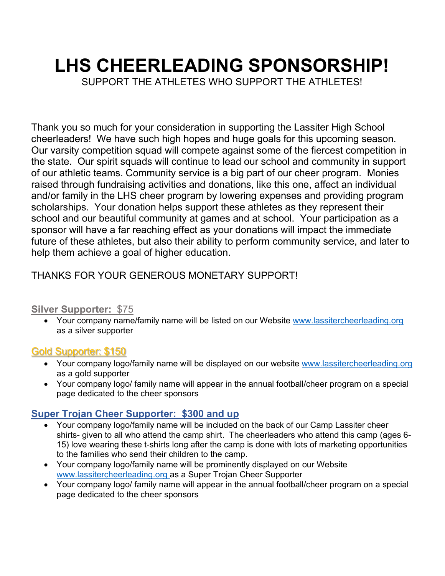# **LHS CHEERLEADING SPONSORSHIP!**

SUPPORT THE ATHLETES WHO SUPPORT THE ATHLETES!

Thank you so much for your consideration in supporting the Lassiter High School cheerleaders! We have such high hopes and huge goals for this upcoming season. Our varsity competition squad will compete against some of the fiercest competition in the state. Our spirit squads will continue to lead our school and community in support of our athletic teams. Community service is a big part of our cheer program. Monies raised through fundraising activities and donations, like this one, affect an individual and/or family in the LHS cheer program by lowering expenses and providing program scholarships. Your donation helps support these athletes as they represent their school and our beautiful community at games and at school. Your participation as a sponsor will have a far reaching effect as your donations will impact the immediate future of these athletes, but also their ability to perform community service, and later to help them achieve a goal of higher education.

## THANKS FOR YOUR GENEROUS MONETARY SUPPORT!

#### **Silver Supporter:** \$75

• Your company name/family name will be listed on our Website www.lassitercheerleading.org as a silver supporter

#### Gold Supporter: \$150

- Your company logo/family name will be displayed on our website www.lassitercheerleading.org as a gold supporter
- Your company logo/ family name will appear in the annual football/cheer program on a special page dedicated to the cheer sponsors

### **Super Trojan Cheer Supporter: \$300 and up**

- Your company logo/family name will be included on the back of our Camp Lassiter cheer shirts- given to all who attend the camp shirt. The cheerleaders who attend this camp (ages 6- 15) love wearing these t-shirts long after the camp is done with lots of marketing opportunities to the families who send their children to the camp.
- Your company logo/family name will be prominently displayed on our Website www.lassitercheerleading.org as a Super Trojan Cheer Supporter
- Your company logo/ family name will appear in the annual football/cheer program on a special page dedicated to the cheer sponsors